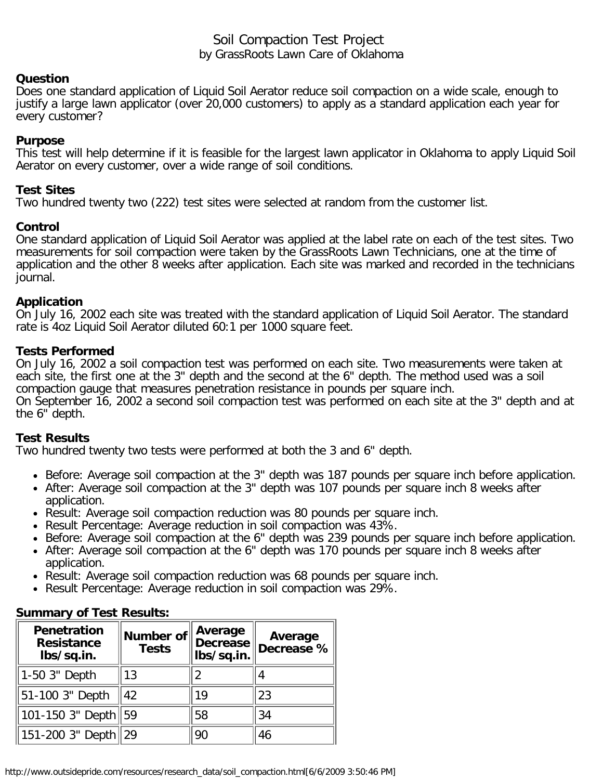# Soil Compaction Test Project by GrassRoots Lawn Care of Oklahoma

### **Question**

Does one standard application of Liquid Soil Aerator reduce soil compaction on a wide scale, enough to justify a large lawn applicator (over 20,000 customers) to apply as a standard application each year for every customer?

### **Purpose**

This test will help determine if it is feasible for the largest lawn applicator in Oklahoma to apply Liquid Soil Aerator on every customer, over a wide range of soil conditions.

## **Test Sites**

Two hundred twenty two (222) test sites were selected at random from the customer list.

### **Control**

One standard application of Liquid Soil Aerator was applied at the label rate on each of the test sites. Two measurements for soil compaction were taken by the GrassRoots Lawn Technicians, one at the time of application and the other 8 weeks after application. Each site was marked and recorded in the technicians journal.

### **Application**

On July 16, 2002 each site was treated with the standard application of Liquid Soil Aerator. The standard rate is 4oz Liquid Soil Aerator diluted 60:1 per 1000 square feet.

### **Tests Performed**

On July 16, 2002 a soil compaction test was performed on each site. Two measurements were taken at each site, the first one at the 3" depth and the second at the 6" depth. The method used was a soil compaction gauge that measures penetration resistance in pounds per square inch.

On September 16, 2002 a second soil compaction test was performed on each site at the 3" depth and at the 6" depth.

## **Test Results**

Two hundred twenty two tests were performed at both the 3 and 6" depth.

- Before: Average soil compaction at the 3" depth was 187 pounds per square inch before application.
- After: Average soil compaction at the 3" depth was 107 pounds per square inch 8 weeks after application.
- Result: Average soil compaction reduction was 80 pounds per square inch.
- Result Percentage: Average reduction in soil compaction was 43%.
- Before: Average soil compaction at the 6" depth was 239 pounds per square inch before application.
- After: Average soil compaction at the 6" depth was 170 pounds per square inch 8 weeks after application.
- Result: Average soil compaction reduction was 68 pounds per square inch.
- Result Percentage: Average reduction in soil compaction was 29%.

| Penetration<br><b>Resistance</b><br>lbs/sq.in. | Number of<br><b>Tests</b> | Average<br><b>Decrease</b><br>lbs/sq.in. | Average<br>Decrease % |
|------------------------------------------------|---------------------------|------------------------------------------|-----------------------|
| 1-50 3" Depth                                  | 13                        | 2                                        |                       |
| 51-100 3" Depth                                | 42                        | 19                                       | 23                    |
| 101-150 3" Depth   59                          |                           | 58                                       | 34                    |
| 151-200 3" Depth                               |                           | 90                                       | 46                    |

## **Summary of Test Results:**